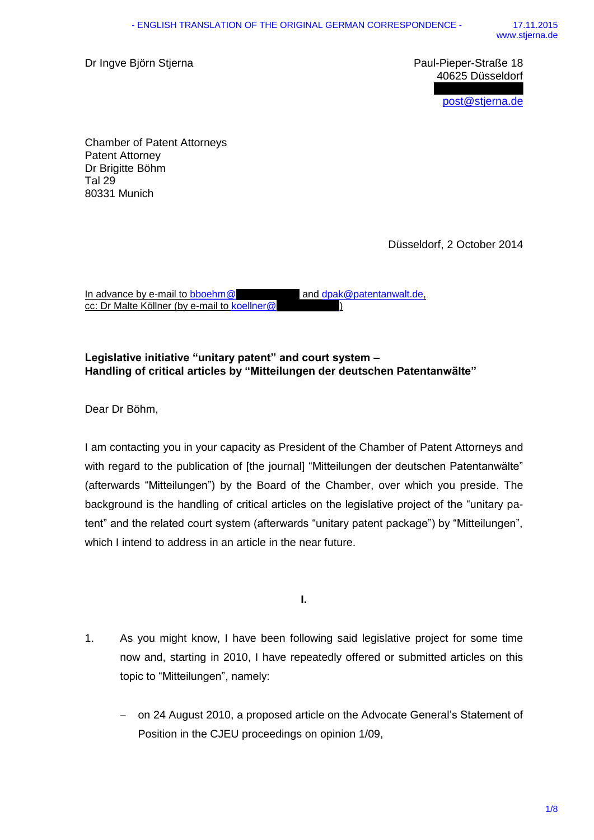Dr Ingve Biörn Stierna **Paul-Pieper-Straße 18** 

40625 Düsseldorf [post@stjerna.de](mailto:post@stjerna.de)

80331 Munich Chamber of Patent Attorneys Patent Attorney Dr Brigitte Böhm Tal 29

Düsseldorf, 2 October 2014

In advance by e-mail to [bboehm@](mailto:bboehm@weickmann.de) and [dpak@patentanwalt.de,](mailto:dpak@patentanwalt.de) cc: Dr Malte Köllner (by e-mail to [koellner@](mailto:koellner@kp-patent.com)

## **Legislative initiative "unitary patent" and court system – Handling of critical articles by "Mitteilungen der deutschen Patentanwälte"**

Dear Dr Böhm,

I am contacting you in your capacity as President of the Chamber of Patent Attorneys and with regard to the publication of [the journal] "Mitteilungen der deutschen Patentanwälte" (afterwards "Mitteilungen") by the Board of the Chamber, over which you preside. The background is the handling of critical articles on the legislative project of the "unitary patent" and the related court system (afterwards "unitary patent package") by "Mitteilungen", which I intend to address in an article in the near future.

**I.**

- 1. As you might know, I have been following said legislative project for some time now and, starting in 2010, I have repeatedly offered or submitted articles on this topic to "Mitteilungen", namely:
	- on 24 August 2010, a proposed article on the Advocate General's Statement of Position in the CJEU proceedings on opinion 1/09,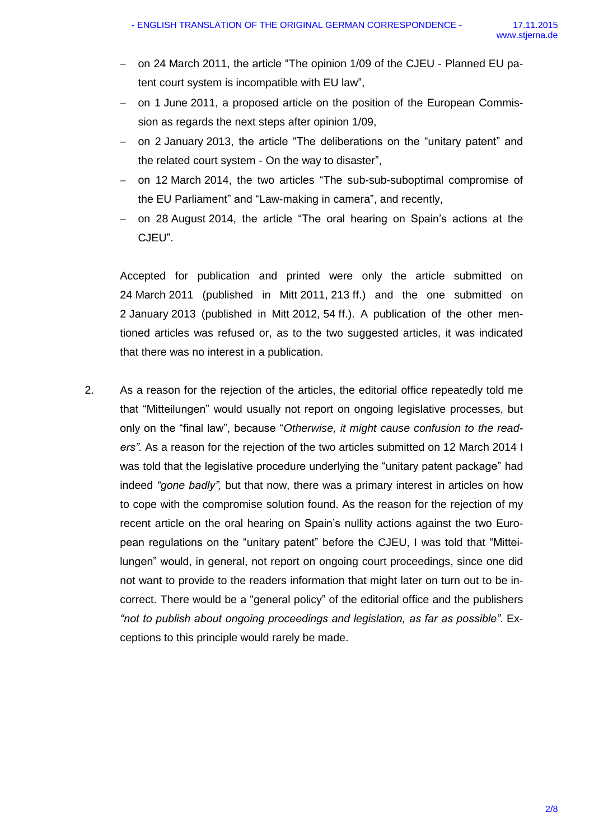- on 24 March 2011, the article "The opinion 1/09 of the CJEU Planned EU patent court system is incompatible with EU law",
- on 1 June 2011, a proposed article on the position of the European Commission as regards the next steps after opinion 1/09,
- on 2 January 2013, the article "The deliberations on the "unitary patent" and the related court system - On the way to disaster",
- on 12 March 2014, the two articles "The sub-sub-suboptimal compromise of the EU Parliament" and "Law-making in camera", and recently,
- on 28 August 2014, the article "The oral hearing on Spain's actions at the CJEU".

Accepted for publication and printed were only the article submitted on 24 March 2011 (published in Mitt 2011, 213 ff.) and the one submitted on 2 January 2013 (published in Mitt 2012, 54 ff.). A publication of the other mentioned articles was refused or, as to the two suggested articles, it was indicated that there was no interest in a publication.

2. As a reason for the rejection of the articles, the editorial office repeatedly told me that "Mitteilungen" would usually not report on ongoing legislative processes, but only on the "final law", because "*Otherwise, it might cause confusion to the readers".* As a reason for the rejection of the two articles submitted on 12 March 2014 I was told that the legislative procedure underlying the "unitary patent package" had indeed *"gone badly",* but that now, there was a primary interest in articles on how to cope with the compromise solution found. As the reason for the rejection of my recent article on the oral hearing on Spain's nullity actions against the two European regulations on the "unitary patent" before the CJEU, I was told that "Mitteilungen" would, in general, not report on ongoing court proceedings, since one did not want to provide to the readers information that might later on turn out to be incorrect. There would be a "general policy" of the editorial office and the publishers *"not to publish about ongoing proceedings and legislation, as far as possible"*. Exceptions to this principle would rarely be made.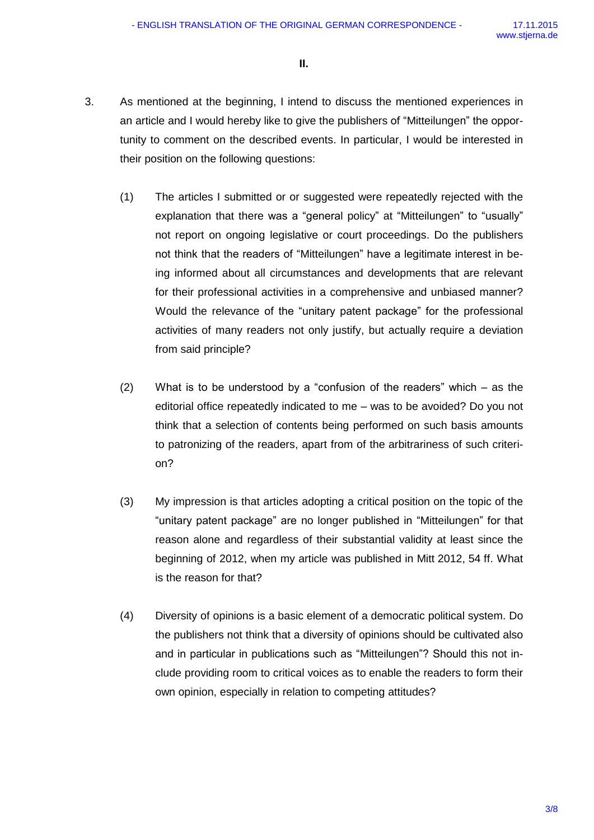**II.**

- 3. As mentioned at the beginning, I intend to discuss the mentioned experiences in an article and I would hereby like to give the publishers of "Mitteilungen" the opportunity to comment on the described events. In particular, I would be interested in their position on the following questions:
	- (1) The articles I submitted or or suggested were repeatedly rejected with the explanation that there was a "general policy" at "Mitteilungen" to "usually" not report on ongoing legislative or court proceedings. Do the publishers not think that the readers of "Mitteilungen" have a legitimate interest in being informed about all circumstances and developments that are relevant for their professional activities in a comprehensive and unbiased manner? Would the relevance of the "unitary patent package" for the professional activities of many readers not only justify, but actually require a deviation from said principle?
	- (2) What is to be understood by a "confusion of the readers" which as the editorial office repeatedly indicated to me – was to be avoided? Do you not think that a selection of contents being performed on such basis amounts to patronizing of the readers, apart from of the arbitrariness of such criterion?
	- (3) My impression is that articles adopting a critical position on the topic of the "unitary patent package" are no longer published in "Mitteilungen" for that reason alone and regardless of their substantial validity at least since the beginning of 2012, when my article was published in Mitt 2012, 54 ff. What is the reason for that?
	- (4) Diversity of opinions is a basic element of a democratic political system. Do the publishers not think that a diversity of opinions should be cultivated also and in particular in publications such as "Mitteilungen"? Should this not include providing room to critical voices as to enable the readers to form their own opinion, especially in relation to competing attitudes?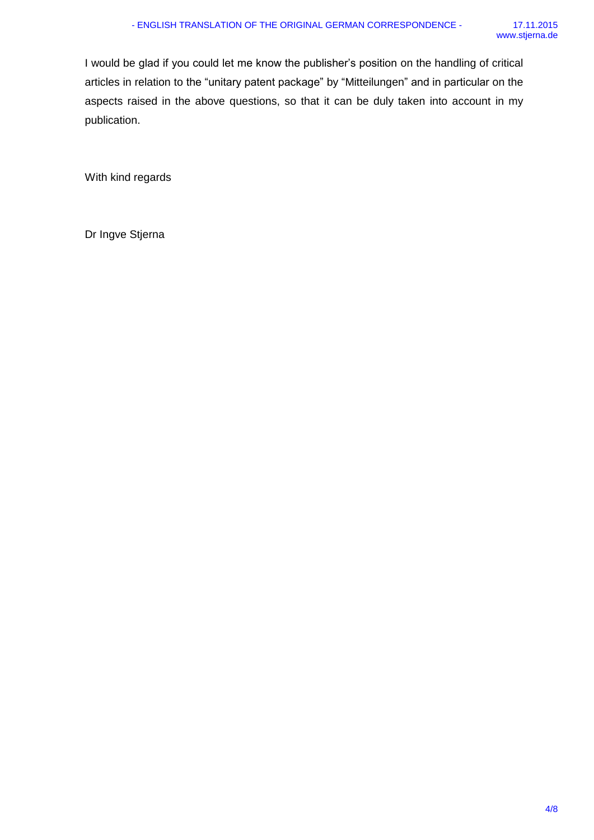I would be glad if you could let me know the publisher's position on the handling of critical articles in relation to the "unitary patent package" by "Mitteilungen" and in particular on the aspects raised in the above questions, so that it can be duly taken into account in my publication.

With kind regards

Dr Ingve Stjerna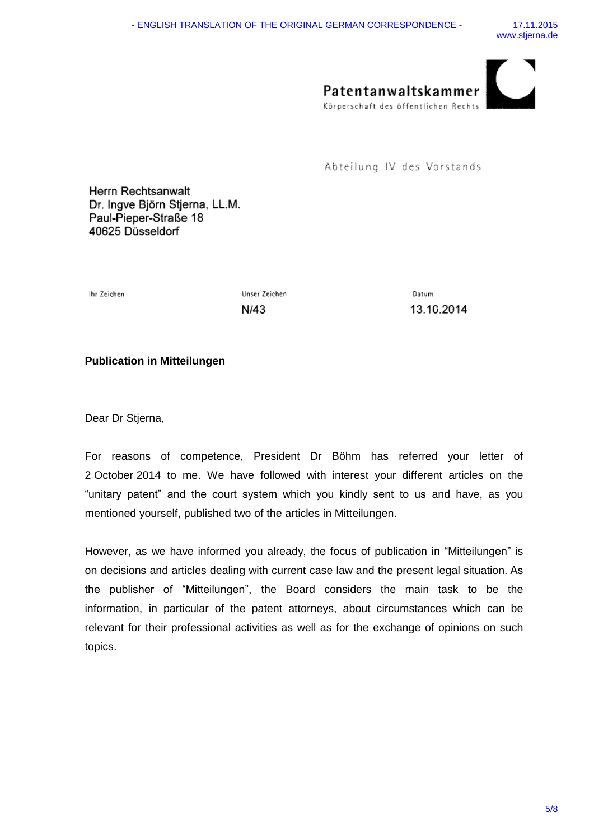

Abteilung IV des Vorstands

Herrn Rechtsanwalt Dr. Ingve Björn Stjerna, LL.M. Paul-Pieper-Straße 18 40625 Düsseldorf

Ihr Zeichen

Unser Zeichen N/43

Datum 13.10.2014

## **Publication in Mitteilungen**

Dear Dr Stjerna,

For reasons of competence, President Dr Böhm has referred your letter of 2 October 2014 to me. We have followed with interest your different articles on the "unitary patent" and the court system which you kindly sent to us and have, as you mentioned yourself, published two of the articles in Mitteilungen.

However, as we have informed you already, the focus of publication in "Mitteilungen" is on decisions and articles dealing with current case law and the present legal situation. As the publisher of "Mitteilungen", the Board considers the main task to be the information, in particular of the patent attorneys, about circumstances which can be relevant for their professional activities as well as for the exchange of opinions on such topics.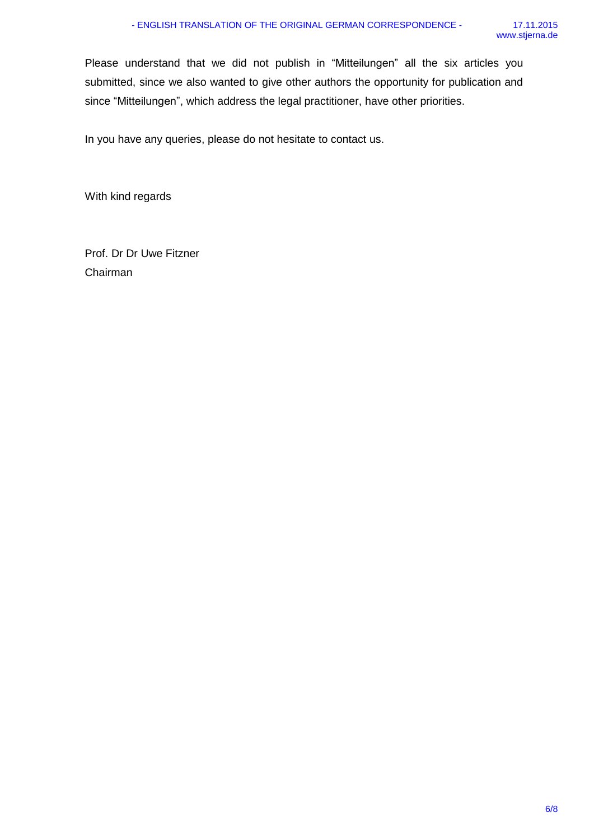Please understand that we did not publish in "Mitteilungen" all the six articles you submitted, since we also wanted to give other authors the opportunity for publication and since "Mitteilungen", which address the legal practitioner, have other priorities.

In you have any queries, please do not hesitate to contact us.

With kind regards

Prof. Dr Dr Uwe Fitzner Chairman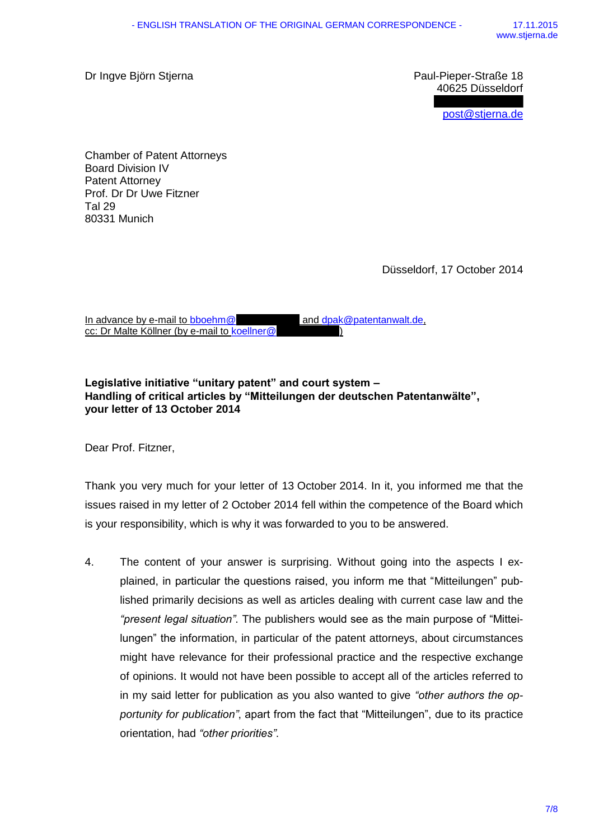Dr Ingve Björn Stjerna Paul-Pieper-Straße 18

40625 Düsseldorf

[post@stjerna.de](mailto:post@stjerna.de)

80331 Munich Chamber of Patent Attorneys Board Division IV Patent Attorney Prof. Dr Dr Uwe Fitzner Tal 29

Düsseldorf, 17 October 2014

| In advance by e-mail to bboehm@              | and dpak@patentanwalt.de |
|----------------------------------------------|--------------------------|
| cc: Dr Malte Köllner (by e-mail to koellner@ |                          |

## **Legislative initiative "unitary patent" and court system – Handling of critical articles by "Mitteilungen der deutschen Patentanwälte", your letter of 13 October 2014**

Dear Prof. Fitzner,

Thank you very much for your letter of 13 October 2014. In it, you informed me that the issues raised in my letter of 2 October 2014 fell within the competence of the Board which is your responsibility, which is why it was forwarded to you to be answered.

4. The content of your answer is surprising. Without going into the aspects I explained, in particular the questions raised, you inform me that "Mitteilungen" published primarily decisions as well as articles dealing with current case law and the *"present legal situation"*. The publishers would see as the main purpose of "Mitteilungen" the information, in particular of the patent attorneys, about circumstances might have relevance for their professional practice and the respective exchange of opinions. It would not have been possible to accept all of the articles referred to in my said letter for publication as you also wanted to give *"other authors the opportunity for publication"*, apart from the fact that "Mitteilungen", due to its practice orientation, had *"other priorities"*.